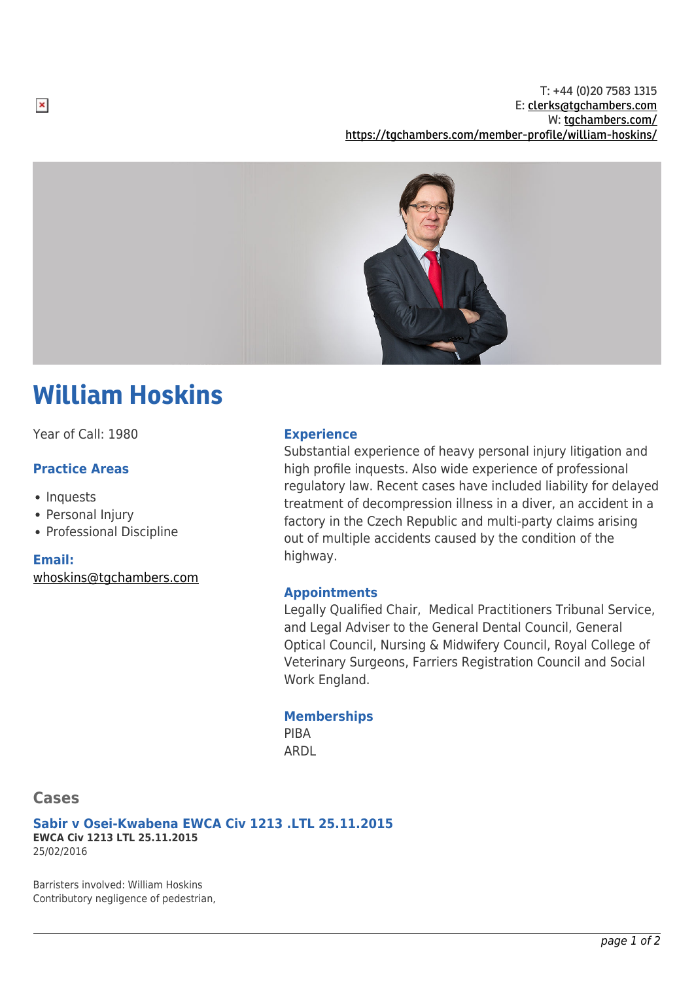T: +44 (0)20 7583 1315 E: [clerks@tgchambers.com](mailto:clerks@tgchambers.com) W: [tgchambers.com/](http://tgchambers.com/) <https://tgchambers.com/member-profile/william-hoskins/>



# William Hoskins

Year of Call: 1980

## **Practice Areas**

- Inquests
- Personal Injury
- Professional Discipline

#### **Email:**

 $\pmb{\times}$ 

[whoskins@tgchambers.com](mailto:whoskins@tgchambers.com)

#### **Experience**

Substantial experience of heavy personal injury litigation and high profile inquests. Also wide experience of professional regulatory law. Recent cases have included liability for delayed treatment of decompression illness in a diver, an accident in a factory in the Czech Republic and multi-party claims arising out of multiple accidents caused by the condition of the highway.

### **Appointments**

Legally Qualified Chair, Medical Practitioners Tribunal Service, and Legal Adviser to the General Dental Council, General Optical Council, Nursing & Midwifery Council, Royal College of Veterinary Surgeons, Farriers Registration Council and Social Work England.

#### **Memberships**

PIBA ARDL

# **Cases**

**Sabir v Osei-Kwabena EWCA Civ 1213 .LTL 25.11.2015 EWCA Civ 1213 LTL 25.11.2015** 25/02/2016

Barristers involved: William Hoskins Contributory negligence of pedestrian,